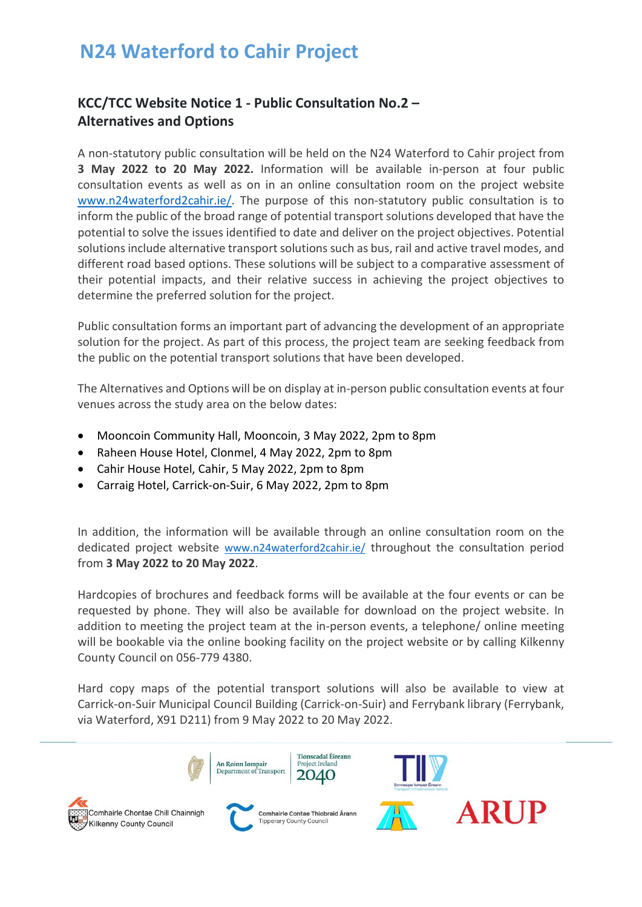## **N24 Waterford to Cahir Project**

## **KCC/TCC Website Notice 1 - Public Consultation No.2 – Alternatives and Options**

A non-statutory public consultation will be held on the N24 Waterford to Cahir project from **3 May 2022 to 20 May 2022.** Information will be available in-person at four public consultation events as well as on in an online consultation room on the project website [www.n24waterford2cahir.ie/.](https://www.n24waterford2cahir.ie/) The purpose of this non-statutory public consultation is to inform the public of the broad range of potential transport solutions developed that have the potential to solve the issues identified to date and deliver on the project objectives. Potential solutions include alternative transport solutions such as bus, rail and active travel modes, and different road based options. These solutions will be subject to a comparative assessment of their potential impacts, and their relative success in achieving the project objectives to determine the preferred solution for the project.

Public consultation forms an important part of advancing the development of an appropriate solution for the project. As part of this process, the project team are seeking feedback from the public on the potential transport solutions that have been developed.

The Alternatives and Options will be on display at in-person public consultation events at four venues across the study area on the below dates:

- Mooncoin Community Hall, Mooncoin, 3 May 2022, 2pm to 8pm
- Raheen House Hotel, Clonmel, 4 May 2022, 2pm to 8pm
- Cahir House Hotel, Cahir, 5 May 2022, 2pm to 8pm
- Carraig Hotel, Carrick-on-Suir, 6 May 2022, 2pm to 8pm

In addition, the information will be available through an online consultation room on the dedicated project website [www.n24waterford2cahir.ie/](https://www.n24waterford2cahir.ie/) throughout the consultation period from **3 May 2022 to 20 May 2022**.

Hardcopies of brochures and feedback forms will be available at the four events or can be requested by phone. They will also be available for download on the project website. In addition to meeting the project team at the in-person events, a telephone/ online meeting will be bookable via the online booking facility on the project website or by calling Kilkenny County Council on 056-779 4380.

Hard copy maps of the potential transport solutions will also be available to view at Carrick-on-Suir Municipal Council Building (Carrick-on-Suir) and Ferrybank library (Ferrybank, via Waterford, X91 D211) from 9 May 2022 to 20 May 2022.